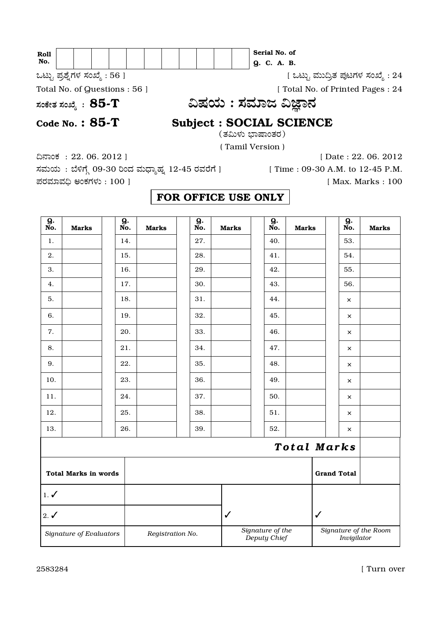| Roll<br>No.                                    | Serial No. of<br>Q. C. A. B.                                          |
|------------------------------------------------|-----------------------------------------------------------------------|
| ಒಟ್ಟು ಪ್ರಶ್ನೆಗಳ ಸಂಖ್ಯೆ : 56 ]                  | [ ಒಟ್ಟು ಮುದ್ರಿತ ಪುಟಗಳ ಸಂಖ್ಯೆ : 24                                     |
| Total No. of Questions : 56 ]                  | [ Total No. of Printed Pages : 24                                     |
| ಸಂಕೇತ ಸಂಖ್ಯೆ $\, : \, {\bf 85}\text{-}{\bf T}$ | ವಿಷಯ : ಸಮಾಜ ವಿಜ್ಞಾನ                                                   |
| Code No.: $85-T$                               | <b>Subject : SOCIAL SCIENCE</b><br>(ತಮಿಳು ಭಾಷಾಂತರ)<br>(Tamil Version) |

å»Ê¢∑ : 22. 06. 2012 ] [ Date : 22. 06. 2012 ಸಮಯ : ಬೆಳಿಗ್ಗೆ 09-30 ರಿಂದ ಮಧ್ಯಾಹ್ನ 12-45 ರವರೆಗೆ ] [ Time : 09-30 A.M. to 12-45 P.M. …Â¬ÂÆÂ⁄ÕÂå˘ •¢∑π›ÂÈ : 100 ] [ Max. Marks : 100

## FOR OFFICE USE ONLY

| $\overline{9.}$ No. | <b>Marks</b>                | <b>g.</b><br>No. | <b>Marks</b>     | <b>g.</b><br>No. | <b>Marks</b> | <b>g.</b><br>No.                 | <b>Marks</b>       |                    | <b>g.</b><br>No. | <b>Marks</b>          |
|---------------------|-----------------------------|------------------|------------------|------------------|--------------|----------------------------------|--------------------|--------------------|------------------|-----------------------|
| 1.                  |                             | 14.              |                  | 27.              |              | 40.                              |                    |                    | 53.              |                       |
| 2.                  |                             | 15.              |                  | 28.              |              | 41.                              |                    |                    | 54.              |                       |
| 3.                  |                             | 16.              |                  | 29.              |              | 42.                              |                    |                    | 55.              |                       |
| 4.                  |                             | 17.              |                  | 30.              |              | 43.                              |                    |                    | 56.              |                       |
| 5.                  |                             | 18.              |                  | 31.              |              | 44.                              |                    |                    | $\times$         |                       |
| 6.                  |                             | 19.              |                  | 32.              |              | 45.                              |                    |                    | $\times$         |                       |
| 7.                  |                             | 20.              |                  | 33.              |              | 46.                              |                    |                    | $\times$         |                       |
| 8.                  |                             | 21.              |                  | 34.              |              | 47.                              |                    |                    | ×                |                       |
| 9.                  |                             | 22.              |                  | 35.              |              | 48.                              |                    |                    | $\times$         |                       |
| 10.                 |                             | 23.              |                  | 36.              |              | 49.                              |                    |                    | ×                |                       |
| 11.                 |                             | 24.              |                  | 37.              |              | 50.                              |                    |                    | ×                |                       |
| 12.                 |                             | 25.              |                  | 38.              |              | 51.                              |                    |                    | ×                |                       |
| 13.                 |                             | 26.              |                  | 39.              |              | 52.                              |                    |                    | ×                |                       |
|                     |                             |                  |                  |                  |              |                                  | <b>Total Marks</b> |                    |                  |                       |
|                     | <b>Total Marks in words</b> |                  |                  |                  |              |                                  |                    | <b>Grand Total</b> |                  |                       |
| $1. \checkmark$     |                             |                  |                  |                  |              |                                  |                    |                    |                  |                       |
| $2. \checkmark$     |                             |                  |                  |                  | $\checkmark$ |                                  |                    | $\checkmark$       |                  |                       |
|                     | Signature of Evaluators     |                  | Registration No. |                  |              | Signature of the<br>Deputy Chief |                    |                    | Invigilator      | Signature of the Room |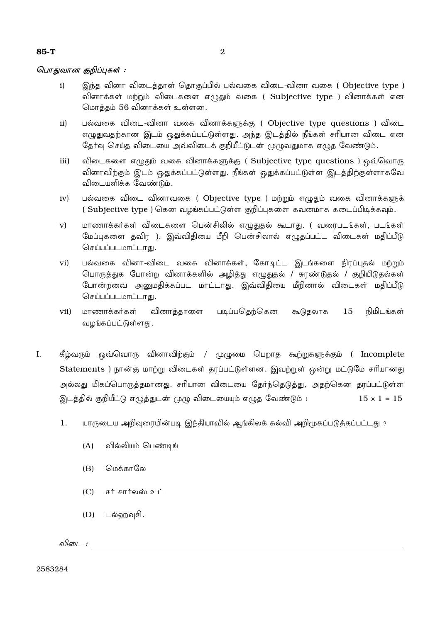## பொதுவான குறிப்புகள்:

- இந்த வினா விடைத்தாள் தொகுப்பில் பல்வகை விடை-வினா வகை ( Objective type )  $i)$ வினாக்கள் மற்றும் விடைகளை எழுதும் வகை ( Subjective type ) வினாக்கள் என மொத்தம் 56 வினாக்கள் உள்ளன.
- பல்வகை விடை-வினா வகை வினாக்களுக்கு ( Objective type questions ) விடை  $ii)$ எழுதுவதற்கான இடம் ஒதுக்கப்பட்டுள்ளது. அந்த இடத்தில் நீங்கள் சரியான விடை என தேர்வு செய்த விடையை அவ்விடைக் குறியீட்டுடன் முழுவதுமாக எழுத வேண்டும்.
- $iii)$ விடைகளை எழுதும் வகை வினாக்களுக்கு ( Subjective type questions ) ஒவ்வொரு வினாவிற்கும் இடம் ஒதுக்கப்பட்டுள்ளது. நீங்கள் ஒதுக்கப்பட்டுள்ள இடத்திற்குள்ளாகவே விடையளிக்க வேண்டும்.
- பல்வகை விடை வினாவகை ( Objective type ) மற்றும் எழுதும் வகை வினாக்களுக்  $iv)$ (Subjective type ) கென வழங்கப்பட்டுள்ள குறிப்புகளை கவனமாக கடைப்பிடிக்கவும்.
- மாணாக்கர்கள் விடைகளை பென்சிலில் எழுதுதல் கூடாது. ( வரைபடங்கள், படங்கள்  $V)$ மேப்புகளை தவிர ). இவ்விதியை மீறி பென்சிலால் எழுதப்பட்ட விடைகள் மதிப்பீடு செய்யப்படமாட்டாகு.
- பல்வகை வினா-விடை வகை வினாக்கள், கோடிட்ட இடங்களை நிரப்புதல் மற்றும்  $\mathbf{vi})$ பொருத்துக போன்ற வினாக்களில் அழித்து எழுதுதல் / சுரண்டுதல் / குறியிடுதல்கள் போன்றவை அனுமதிக்கப்பட மாட்டாது. இவ்விதியை மீறினால் விடைகள் மதிப்பீடு செய்யப்படமாட்டாகு.
- மாணாக்கர்கள் வினாக்காளை படிப்பதெற்கென 15 நிமிடங்கள்  $vii)$ கூடுகலாக வழங்கப்பட்டுள்ளது.
- $\mathbf{L}$ கீழ்வரும் ஒவ்வொரு வினாவிற்கும் / முழுமை பெறாத கூற்றுகளுக்கும் ( Incomplete Statements ) நான்கு மாற்று விடைகள் தரப்பட்டுள்ளன. இவற்றுள் ஒன்று மட்டுமே சரியானது அல்லது மிகப்பொருத்தமானது. சரியான விடையை தேர்ந்தெடுத்து, அதற்கென தரப்பட்டுள்ள இடத்தில் குறியீட்டு எழுத்துடன் முழு விடையையும் எழுத வேண்டும் :  $15 \times 1 = 15$ 
	- யாருடைய அறிவுரையின்படி இந்தியாவில் ஆங்கிலக் கல்வி அறிமுகப்படுத்தப்பட்டது ? 1.
		- $(A)$ வில்லியம் பெண்டிங்
		- மெக்காலே  $(B)$
		- சுர் சார்லஸ் உட்  $(C)$
		- $(D)$ டல்ஹவுசி.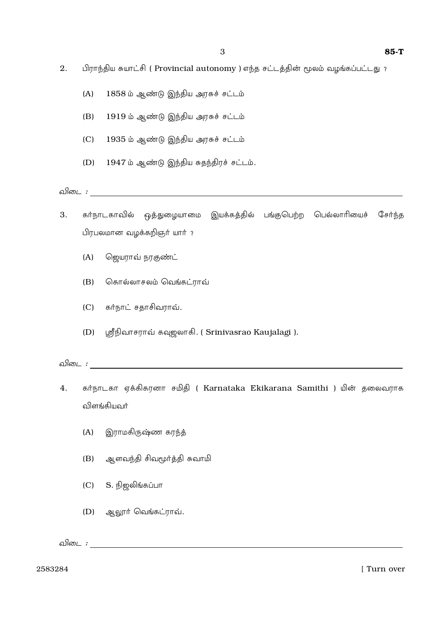- 2. பிராந்திய சுயாட்சி ( Provincial autonomy ) எந்த சட்டத்தின் மூலம் வழங்கப்பட்டது?
	- $(A)$  1858 ம் ஆண்டு இந்திய அரசுச் சட்டம்
	- (B) 1919 ம் ஆண்டு இந்திய அரசுச் சட்டம்
	- (C) 1935 ம் ஆண்டு இந்திய அரசுச் சட்டம்
	- $(D)$  1947 ம் ஆண்டு இந்திய சுதந்திரச் சட்டம்.

*µÏˆª :*

- 3. கர்நாடகாவில் ஒத்துழையாமை இயக்கத்தில் பங்குபெற்ற பெல்லாரியைச் சேர்ந்த பிரபலமான வழக்கறிஞர் யார் ?
	- (A) ஜெயராவ் நரகுண்ட்
	- (B) சொல்லாசலம் வெங்கட்ராவ்
	- $(C)$  கா்நாட் சதாசிவராவ்.
	- (D) ஸ்ரீநிவாசராவ் கவுஜலாகி. ( Srinivasrao Kaujalagi ).

*µÏˆª :*

- 4. கர்நாடகா ஏக்கிகரனா சமிதி ( Karnataka Ekikarana Samithi ) யின் தலைவராக விளங்கியவர்
	- (A) இராமகிருஷ்ண கரந்த்
	- (B) ஆளவந்தி சிவமூர்த்தி சுவாமி
	- $(C)$   $S.$  நிஜலிங்கப்பா
	- $(D)$  ஆலூர் வெங்கட்ராவ்.

 $\Omega$ *ĩo i :*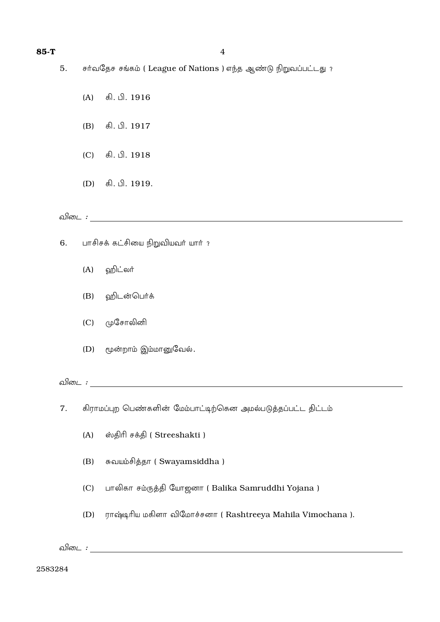- சர்வதேச சங்கம் ( League of Nations ) எந்த ஆண்டு நிறுவப்பட்டது ? 5.
	- கி. பி. 1916  $(A)$
	- கி. பி. 1917  $(B)$
	- கி. பி. 1918  $(C)$
	- $(D)$ கி. பி. 1919.

## 

- பாசிசக் கட்சியை நிறுவியவர் யார் ? 6.
	- ஹிட்லர்  $(A)$
	- விடன்பெர்க்  $(B)$
	- முசோலினி  $(C)$
	- மூன்றாம் இம்மானுவேல்.  $(D)$

விடை $\blacksquare$ :

- கிராமப்புற பெண்களின் மேம்பாட்டிற்கென அமல்படுத்தப்பட்ட திட்டம் 7.
	- ஸ்திரி சக்தி ( Streeshakti )  $(A)$
	- சுவயம்சித்தா (Swayamsiddha)  $(B)$
	- பாலிகா சம்ருத்தி யோஜனா (Balika Samruddhi Yojana)  $(C)$
	- ராஷ்டிரிய மகிளா விமோச்சனா ( Rashtreeya Mahila Vimochana ).  $(D)$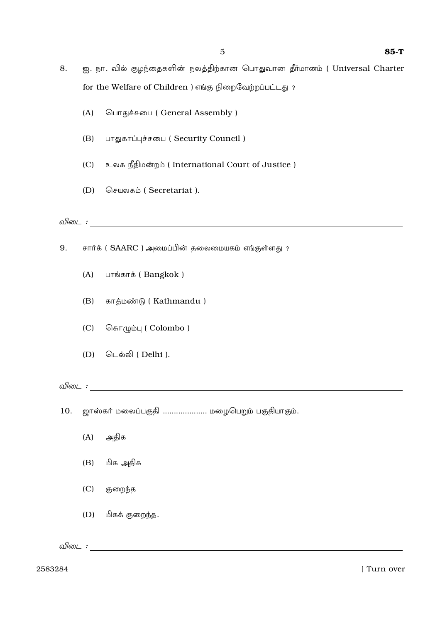- ஐ. நா. வில் குழந்தைகளின் நலத்திற்கான பொதுவான தீர்மானம் ( Universal Charter 8. for the Welfare of Children ) எங்கு நிறைவேற்றப்பட்டது?
	- $(A)$ பொதுச்சபை (General Assembly)
	- $(B)$ பாதுகாப்புச்சபை (Security Council)
	- உலக நீதிமன்றம் (International Court of Justice)  $(C)$
	- செயலகம் (Secretariat).  $(D)$

விடை $\mathcal{L}$ :

- சார்க் ( SAARC ) அமைப்பின் தலைமையகம் எங்குள்ளது ? 9.
	- $(A)$ பாங்காக் (Bangkok)
	- காத்மண்டு (Kathmandu)  $(B)$
	- கொழும்பு ( Colombo )  $(C)$
	- $(D)$ டெல்லி (Delhi ).

10. ஜாஸ்கர் மலைப்பகுதி ..................... மழைபெறும் பகுதியாகும்.

- அதிக  $(A)$
- மிக அதிக  $(B)$
- $(C)$ குறைந்த
- $(D)$ மிகக் குறைந்த.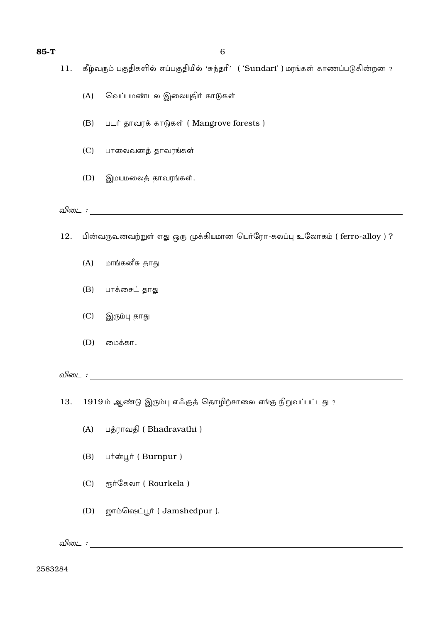- கீழ்வரும் பகுதிகளில் எப்பகுதியில் 'சுந்தரி' ( 'Sundari' ) மரங்கள் காணப்படுகின்றன ? 11.
	- வெப்பமண்டல இலையுதிர் காடுகள்  $(A)$
	- படர் தாவரக் காடுகள் ( Mangrove forests )  $(B)$
	- பாலைவனத் தாவரங்கள்  $(C)$
	- $(D)$ இமயமலைத் தாவரங்கள்.

## 

- பின்வருவனவற்றுள் எது ஒரு முக்கியமான பெர்ரோ-கலப்பு உலோகம் ( ferro-alloy ) ? 12.
	- மாங்கனீசு தாது  $(A)$
	- பாக்சைட் தாது  $(B)$
	- $(C)$ இரும்பு தாது
	- $(D)$ மைக்கா.

விடை கால் மாண்டும் மாண்டும் மாண்டும். மாண்டும் மாண்டும் மாண்டும் மாண்டும் மாண்டும். மாண்டும் மாண்டும் மாண்டும்

1919 ம் ஆண்டு இரும்பு எஃகுத் தொழிற்சாலை எங்கு நிறுவப்பட்டது? 13.

- பத்ராவதி (Bhadravathi)  $(A)$
- பர்ன்பூர் ( Burnpur )  $(B)$
- ரூர்கேலா (Rourkela)  $(C)$
- $(D)$ ஜாம்ஷெட்பூர் (Jamshedpur).

விடை  $\colon$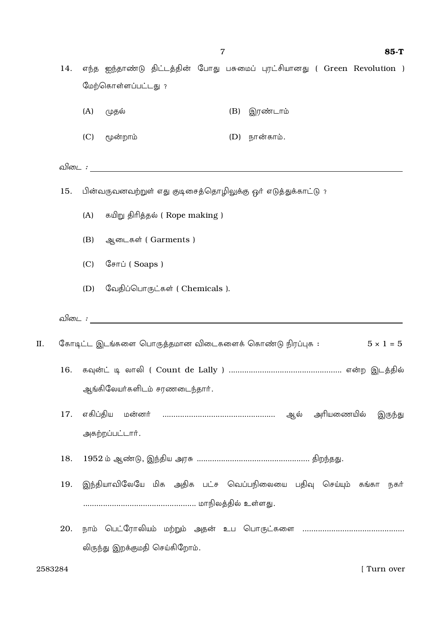| 14. | எந்த ஐந்தாண்டு திட்டத்தின் போது பசுமைப் புரட்சியானது ( Green Revolution )<br>மேற்கொள்ளப்பட்டது? |  |  |  |  |  |  |  |  |  |  |
|-----|-------------------------------------------------------------------------------------------------|--|--|--|--|--|--|--|--|--|--|
|     | (A)<br>இரண்டாம்<br>(முதல்<br>(B)                                                                |  |  |  |  |  |  |  |  |  |  |
|     | (C)<br>மூன்றாம்<br>$(D)$ நான்காம்.                                                              |  |  |  |  |  |  |  |  |  |  |
|     |                                                                                                 |  |  |  |  |  |  |  |  |  |  |
| 15. | பின்வருவனவற்றுள் எது குடிசைத்தொழிலுக்கு ஓர் எடுத்துக்காட்டு ?                                   |  |  |  |  |  |  |  |  |  |  |
|     | கயிறு திரித்தல் (Rope making )<br>(A)                                                           |  |  |  |  |  |  |  |  |  |  |
|     | ஆடைகள் (Garments)<br>(B)                                                                        |  |  |  |  |  |  |  |  |  |  |
|     | (C)<br>சோப் (Soaps)                                                                             |  |  |  |  |  |  |  |  |  |  |
|     | வேதிப்பொருட்கள் ( Chemicals ).<br>(D)                                                           |  |  |  |  |  |  |  |  |  |  |
|     |                                                                                                 |  |  |  |  |  |  |  |  |  |  |
|     | கோடிட்ட இடங்களை பொருத்தமான விடைகளைக் கொண்டு நிரப்புக :<br>$5 \times 1 = 5$                      |  |  |  |  |  |  |  |  |  |  |
| 16. | ஆங்கிலேயர்களிடம் சரணடைந்தார்.                                                                   |  |  |  |  |  |  |  |  |  |  |
| 17. | எகிப்திய<br>இருந்து<br>அகற்றப்பட்டார்.                                                          |  |  |  |  |  |  |  |  |  |  |
| 18. | 1952 ம் ஆண்டு, இந்திய அரசு …………………………………………… திறந்தது.                                          |  |  |  |  |  |  |  |  |  |  |
| 19. | இந்தியாவிலேயே மிக அதிக பட்ச வெப்பநிலையை பதிவு செய்யும் கங்கா<br>நகர்                            |  |  |  |  |  |  |  |  |  |  |
|     |                                                                                                 |  |  |  |  |  |  |  |  |  |  |
| 20. |                                                                                                 |  |  |  |  |  |  |  |  |  |  |
|     | லிருந்து இறக்குமதி செய்கிறோம்.                                                                  |  |  |  |  |  |  |  |  |  |  |

II.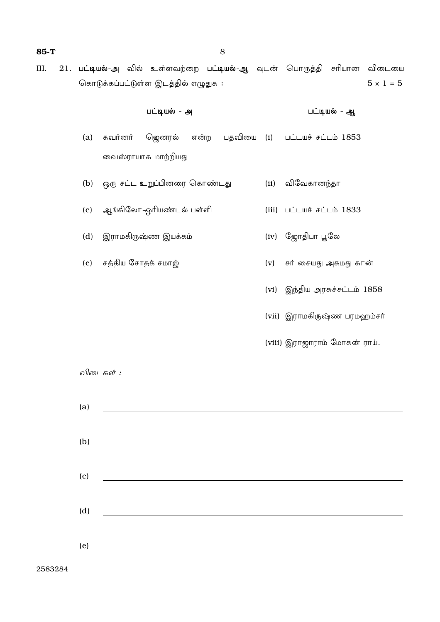21. பட்டியல்-அ வில் உள்ளவற்றை பட்டியல்-ஆ வுடன் பொருத்தி சரியான விடையை III. கொடுக்கப்பட்டுள்ள இடத்தில் எழுதுக :  $5 \times 1 = 5$ 

|     | பட்டியல் - அ       |                                 |  |  |      | பட்டியல் - ஆ                                      |
|-----|--------------------|---------------------------------|--|--|------|---------------------------------------------------|
| (a) |                    |                                 |  |  |      | கவர்னர் ஜெனரல் என்ற பதவியை (i) பட்டயச்சட்டம் 1853 |
|     |                    | வைஸ்ராயாக மாற்றியது             |  |  |      |                                                   |
|     |                    | (b) ஒரு சட்ட உறுப்பினரை கொண்டது |  |  |      | (ii) விவேகானந்தா                                  |
| (c) |                    | ஆங்கிலோ-ஓரியண்டல் பள்ளி         |  |  |      | $(iii)$ $Li$ $Li$ $J833$                          |
| (d) |                    | இராமகிருஷ்ண இயக்கம்             |  |  |      | (iv) ஜோதிபா பூலே                                  |
| (e) | சத்திய சோதக் சமாஜ் |                                 |  |  | (v)  | சர் சையது அகமது கான்                              |
|     |                    |                                 |  |  | (vi) | இந்திய அரசுச்சட்டம் 1858                          |
|     |                    |                                 |  |  |      | (vii) இராமகிருஷ்ண பரமஹம்சர்                       |
|     |                    |                                 |  |  |      | (viii) இராஜாராம் மோகன் ராய்.                      |

விடைகள் :

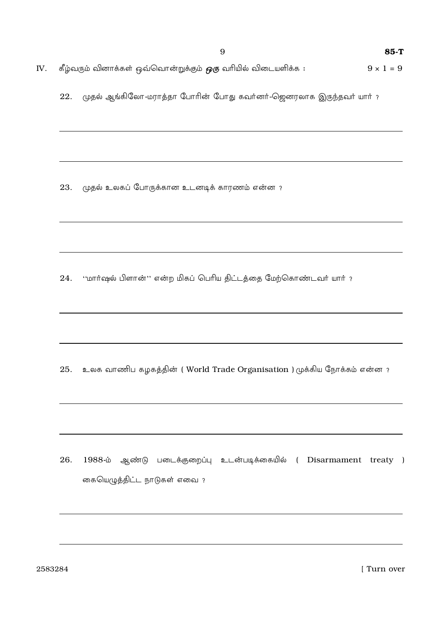கீழ்வரும் வினாக்கள் ஒவ்வொன்றுக்கும் *ஒரு* வரியில் விடையளிக்க :  $9 \times 1 = 9$ IV.

முதல் ஆங்கிலோ-மராத்தா போரின் போது கவர்னர்-ஜெனரலாக இருந்தவர் யார் ? 22.

முதல் உலகப் போருக்கான உடனடிக் காரணம் என்ன ? 23.

''மார்ஷல் பிளான்'' என்ற மிகப் பெரிய திட்டத்தை மேற்கொண்டவர் யார் ? 24.

25. உலக வாணிப கழகத்தின் (World Trade Organisation ) முக்கிய நோக்கம் என்ன ?

26. 1988-ம் ஆண்டு படைக்குறைப்பு உடன்படிக்கையில் ( Disarmament treaty ) கையெழுத்திட்ட நாடுகள் எவை ?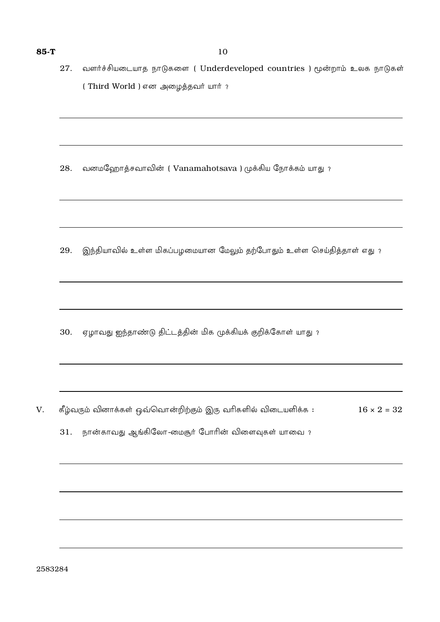வனமஹோத்சவாவின் (Vanamahotsava) முக்கிய நோக்கம் யாது ? 28.

இந்தியாவில் உள்ள மிகப்பழமையான மேலும் தற்போதும் உள்ள செய்தித்தாள் எது ? 29.

30. ஏழாவது ஐந்தாண்டு திட்டத்தின் மிக முக்கியக் குறிக்கோள் யாது ?

கீழ்வரும் வினாக்கள் ஒவ்வொன்றிற்கும் இரு வரிகளில் விடையளிக்க :  $16 \times 2 = 32$ V.

31. நான்காவது ஆங்கிலோ-மைசூர் போரின் விளைவுகள் யாவை ?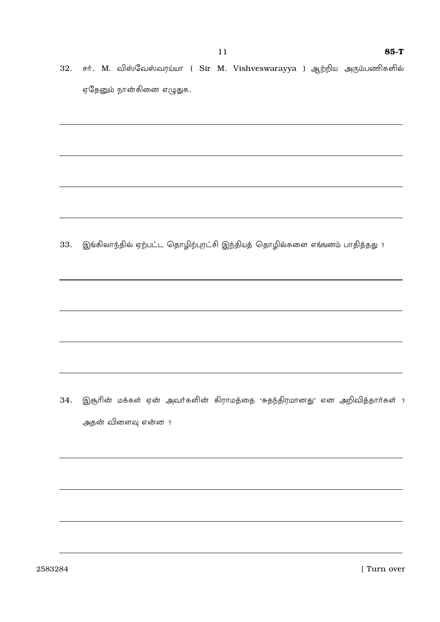32. சர். M. விஸ்வேஸ்வரய்யா ( Sir M. Vishveswarayya ) ஆற்றிய அரும்பணிகளில் ஏதேனும் நான்கினை எழுதுக.

இங்கிலாந்தில் ஏற்பட்ட தொழிற்புரட்சி இந்தியத் தொழில்களை எங்ஙனம் பாதித்தது ? 33.

இசூரின் மக்கள் ஏன் அவர்களின் கிராமத்தை 'சுதந்திரமானது' என அறிவித்தார்கள் ? 34. அதன் விளைவு என்ன ?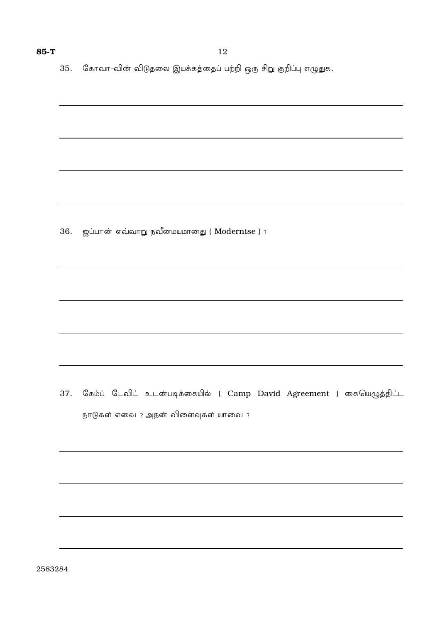35. கோவா-வின் விடுதலை இயக்கத்தைப் பற்றி ஒரு சிறு குறிப்பு எழுதுக.

36. ஜப்பான் எவ்வாறு நவீனமயமானது (Modernise ) ?

37. கேம்ப் டேவிட் உடன்படிக்கையில் ( Camp David Agreement ) கையெழுத்திட்ட நாடுகள் எவை ? அதன் விளைவுகள் யாவை ?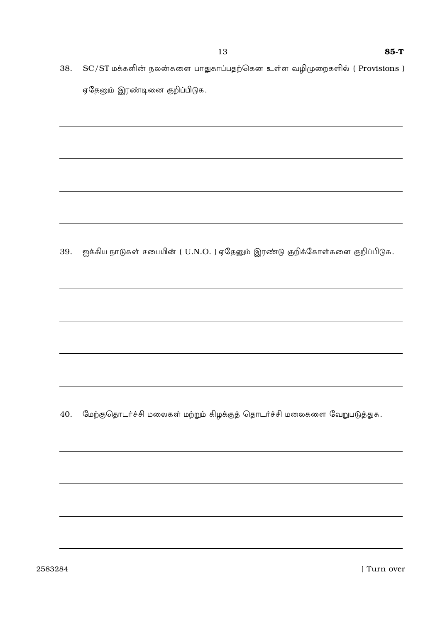38. SC/ST மக்களின் நலன்களை பாதுகாப்பதற்கென உள்ள வழிமுறைகளில் ( Provisions ) ஏதேனும் இரண்டினை குறிப்பிடுக.

39. ஐக்கிய நாடுகள் சபையின் ( U.N.O. ) ஏதேனும் இரண்டு குறிக்கோள்களை குறிப்பிடுக.

40. மேற்குதொடர்ச்சி மலைகள் மற்றும் கிழக்குத் தொடர்ச்சி மலைகளை வேறுபடுத்துக.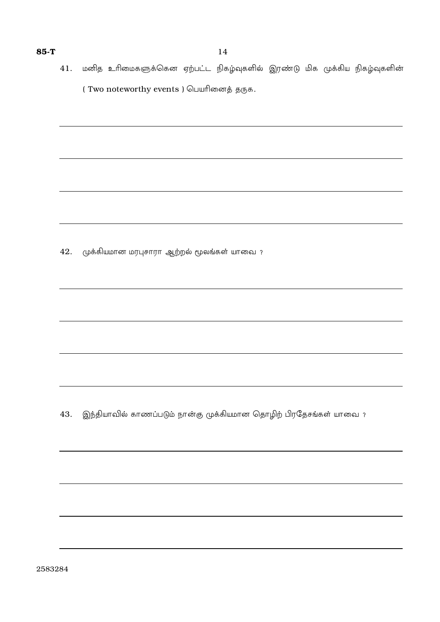41. மனித உரிமைகளுக்கென ஏற்பட்ட நிகழ்வுகளில் இரண்டு மிக முக்கிய நிகழ்வுகளின் ( Two noteworthy events ) பெயரினைத் தருக.

42. முக்கியமான மரபுசாரா ஆற்றல் மூலங்கள் யாவை ?

43. இந்தியாவில் காணப்படும் நான்கு முக்கியமான தொழிற் பிரதேசங்கள் யாவை ?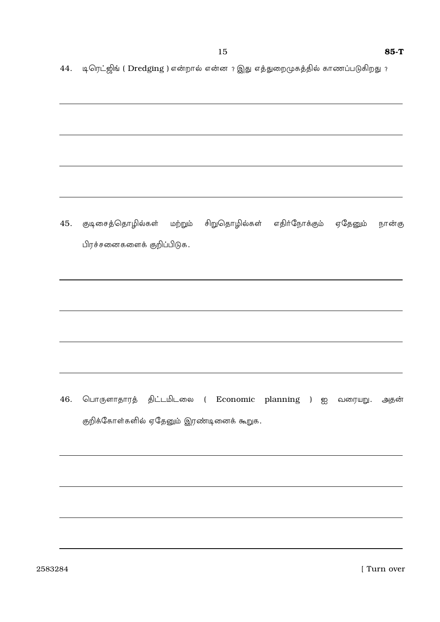44. டிரெட்ஜிங் ( Dredging ) என்றால் என்ன ? இது எத்துறைமுகத்தில் காணப்படுகிறது ?

குடிசைத்தொழில்கள் மற்றும் சிறுதொழில்கள் எதிர்நோக்கும் ஏதேனும் 45. நான்கு பிரச்சனைகளைக் குறிப்பிடுக.

46. பொருளாதாரத் திட்டமிடலை ( Economic planning ) ஐ வரையறு. அதன் குறிக்கோள்களில் ஏதேனும் இரண்டினைக் கூறுக.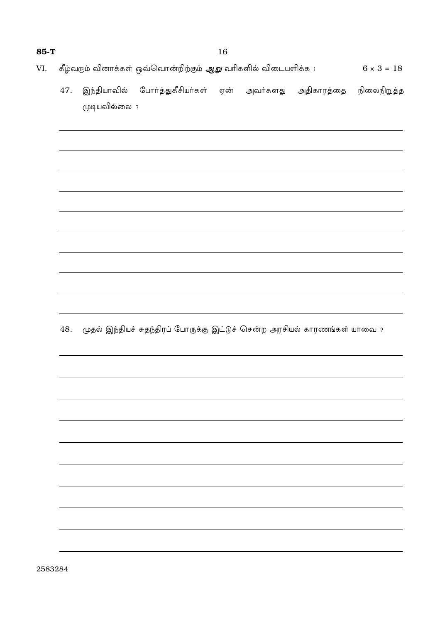- கீழ்வரும் வினாக்கள் ஒவ்வொன்றிற்கும் *ஆறு* வரிகளில் விடையளிக்க :  $6 \times 3 = 18$ VI.
	- இந்தியாவில் போர்த்துகீசியர்கள் ஏன் அவர்களது அதிகாரத்தை நிலைநிறுத்த 47. முடியவில்லை ?

48. முதல் இந்தியச் சுதந்திரப் போருக்கு இட்டுச் சென்ற அரசியல் காரணங்கள் யாவை ?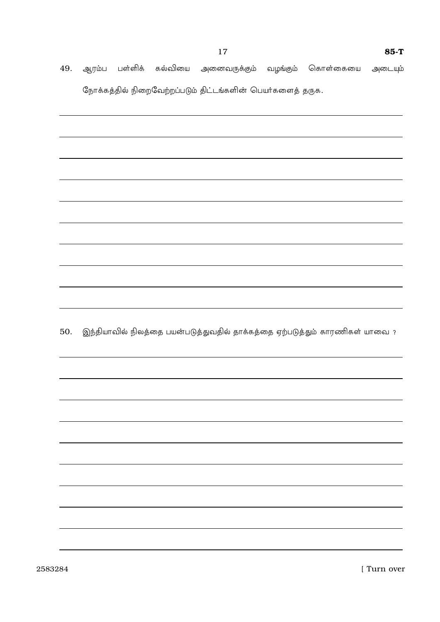49. ஆரம்ப பள்ளிக் கல்வியை அனைவருக்கும் வழங்கும் கொள்கையை அடையும் நோக்கத்தில் நிறைவேற்றப்படும் திட்டங்களின் பெயர்களைத் தருக.

50. இந்தியாவில் நிலத்தை பயன்படுத்துவதில் தாக்கத்தை ஏற்படுத்தும் காரணிகள் யாவை ?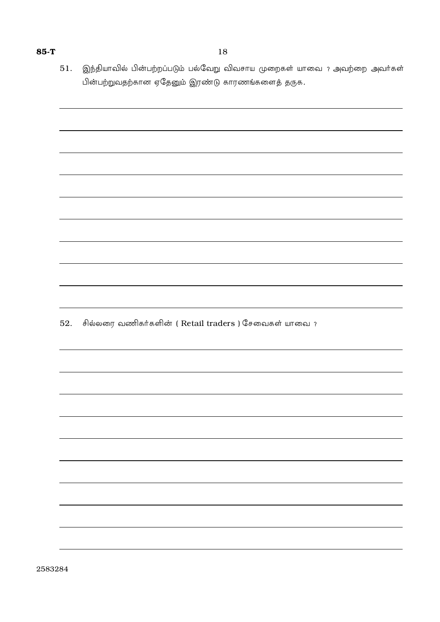இந்தியாவில் பின்பற்றப்படும் பல்வேறு விவசாய முறைகள் யாவை ? அவற்றை அவர்கள் 51. பின்பற்றுவதற்கான ஏதேனும் இரண்டு காரணங்களைத் தருக.

சில்லரை வணிகர்களின் ( Retail traders ) சேவைகள் யாவை ? 52.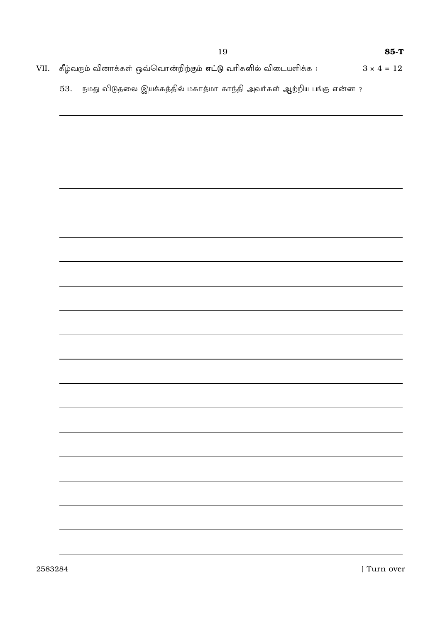VII. கீழ்வரும் வினாக்கள் ஒவ்வொன்றிற்கும் **எட்டு** வரிகளில் விடையளிக்க **:**  $3\times 4=12$ 

53. நமது விடுதலை இயக்கத்தில் மகாத்மா காந்தி அவர்கள் ஆற்றிய பங்கு என்ன ?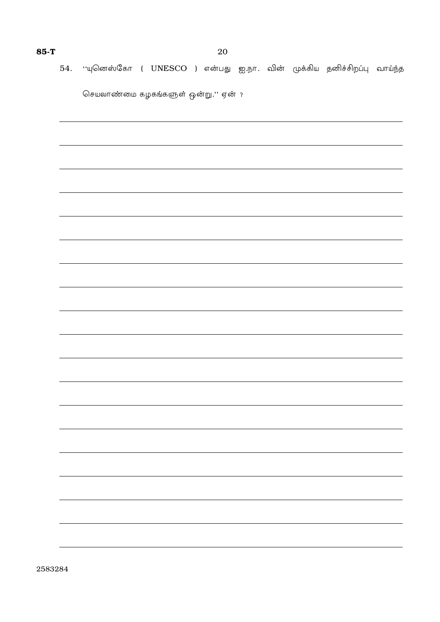# 54. ''யுனெஸ்கோ ( UNESCO ) என்பது ஐ.நா. வின் முக்கிய தனிச்சிறப்பு வாய்ந்த

 $\overline{\phantom{a}}$ 

செயலாண்மை கழகங்களுள் ஒன்று.'' ஏன் ?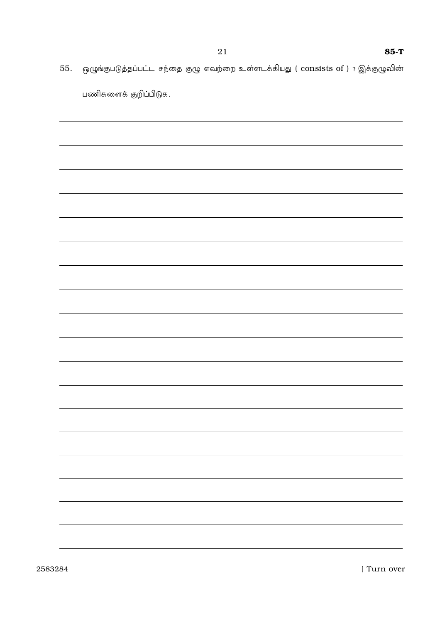55. ஒழுங்குபடுத்தப்பட்ட சந்தை குழு எவற்றை உள்ளடக்கியது ( consists of ) ? இக்குழுவின்

| பணிகளைக் குறிப்பிடுக. |
|-----------------------|
|                       |
|                       |
|                       |
|                       |
|                       |
|                       |
|                       |
|                       |
|                       |
|                       |
|                       |
|                       |
|                       |
|                       |
|                       |
|                       |
|                       |
|                       |
|                       |
|                       |
|                       |
|                       |
|                       |
|                       |

2583284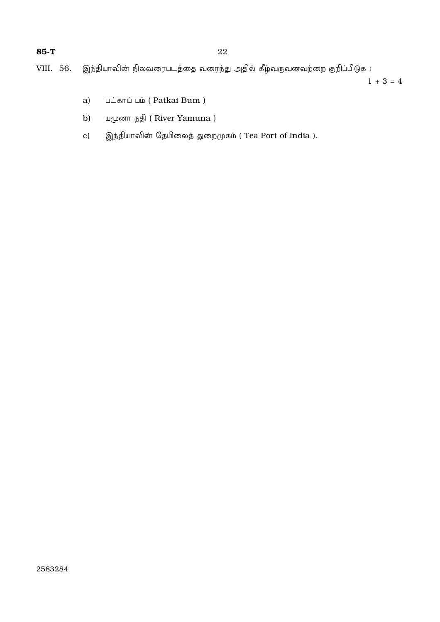|  |  |  |  |  |  | VIII. 56.   இந்தியாவின் நிலவரைபடத்தை வரைந்து அதில் கீழ்வருவனவற்றை குறிப்பிடுக : |  |  |
|--|--|--|--|--|--|---------------------------------------------------------------------------------|--|--|
|--|--|--|--|--|--|---------------------------------------------------------------------------------|--|--|

 $1 + 3 = 4$ 

- பட்காய் பம் (Patkai Bum) a)
- b) யமுனா நதி (River Yamuna)
- இந்தியாவின் தேயிலைத் துறைமுகம் ( Tea Port of India ).  $\mathbf{c})$